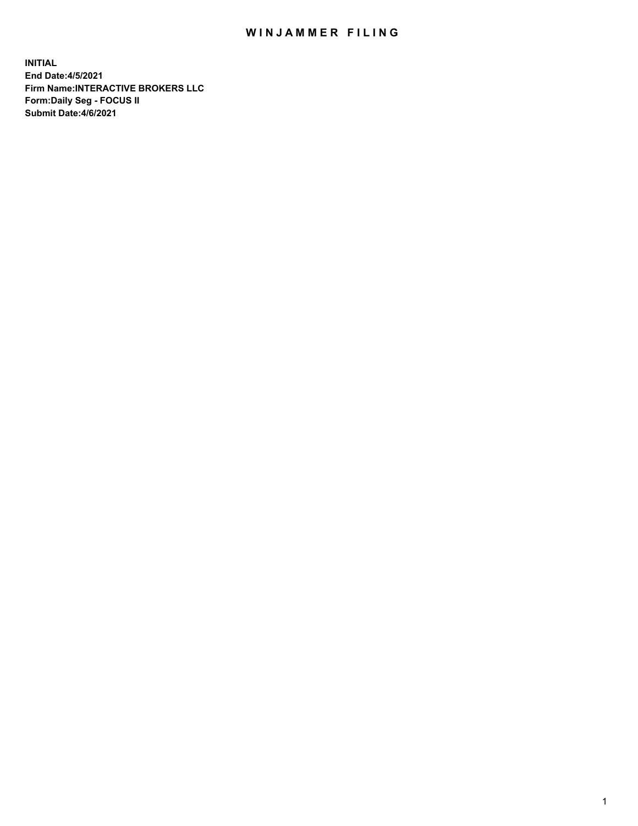## WIN JAMMER FILING

**INITIAL End Date:4/5/2021 Firm Name:INTERACTIVE BROKERS LLC Form:Daily Seg - FOCUS II Submit Date:4/6/2021**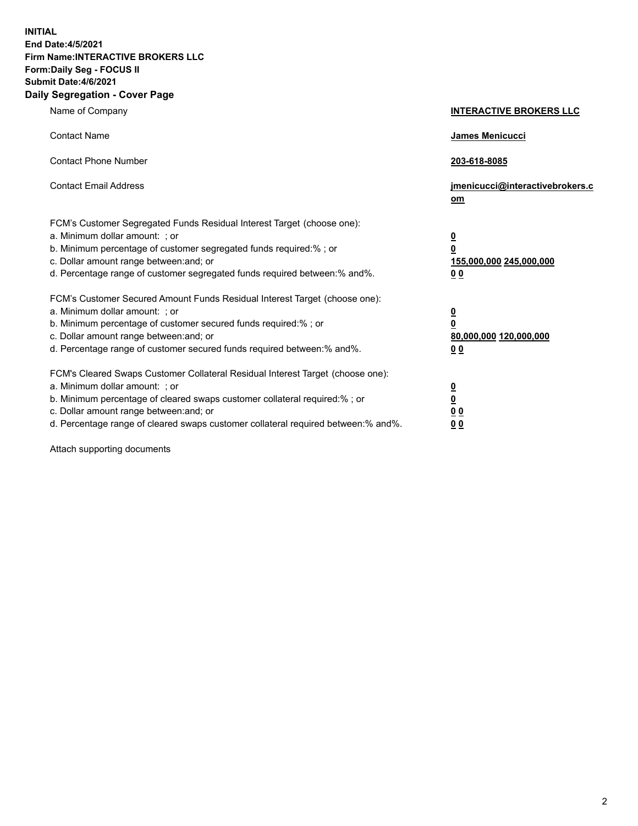**INITIAL End Date:4/5/2021 Firm Name:INTERACTIVE BROKERS LLC Form:Daily Seg - FOCUS II Submit Date:4/6/2021 Daily Segregation - Cover Page**

| Name of Company                                                                                                                                                                                                                                                                                                                | <b>INTERACTIVE BROKERS LLC</b>                                                                  |
|--------------------------------------------------------------------------------------------------------------------------------------------------------------------------------------------------------------------------------------------------------------------------------------------------------------------------------|-------------------------------------------------------------------------------------------------|
| <b>Contact Name</b>                                                                                                                                                                                                                                                                                                            | James Menicucci                                                                                 |
| <b>Contact Phone Number</b>                                                                                                                                                                                                                                                                                                    | 203-618-8085                                                                                    |
| <b>Contact Email Address</b>                                                                                                                                                                                                                                                                                                   | jmenicucci@interactivebrokers.c<br>om                                                           |
| FCM's Customer Segregated Funds Residual Interest Target (choose one):<br>a. Minimum dollar amount: ; or<br>b. Minimum percentage of customer segregated funds required:%; or<br>c. Dollar amount range between: and; or<br>d. Percentage range of customer segregated funds required between:% and%.                          | $\overline{\mathbf{0}}$<br>$\overline{\mathbf{0}}$<br>155,000,000 245,000,000<br>0 <sub>0</sub> |
| FCM's Customer Secured Amount Funds Residual Interest Target (choose one):<br>a. Minimum dollar amount: ; or<br>b. Minimum percentage of customer secured funds required:% ; or<br>c. Dollar amount range between: and; or<br>d. Percentage range of customer secured funds required between:% and%.                           | $\frac{0}{0}$<br>80,000,000 120,000,000<br>0 <sub>0</sub>                                       |
| FCM's Cleared Swaps Customer Collateral Residual Interest Target (choose one):<br>a. Minimum dollar amount: ; or<br>b. Minimum percentage of cleared swaps customer collateral required:% ; or<br>c. Dollar amount range between: and; or<br>d. Percentage range of cleared swaps customer collateral required between:% and%. | $\frac{0}{0}$<br>0 <sub>0</sub><br>0 <sub>0</sub>                                               |

Attach supporting documents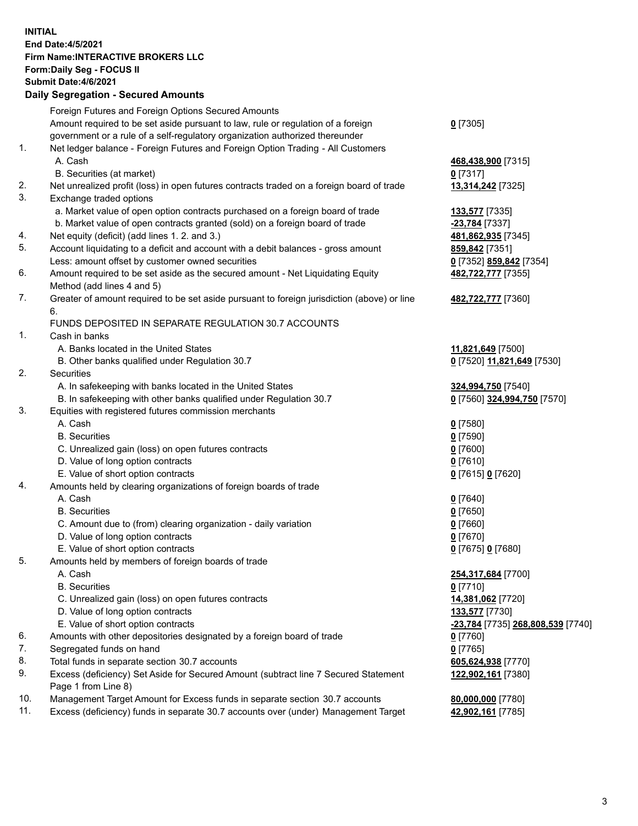## **INITIAL End Date:4/5/2021 Firm Name:INTERACTIVE BROKERS LLC Form:Daily Seg - FOCUS II Submit Date:4/6/2021 Daily Segregation - Secured Amounts**

|     | Dany Ocgregation - Occarea Anioants                                                                        |                                   |
|-----|------------------------------------------------------------------------------------------------------------|-----------------------------------|
|     | Foreign Futures and Foreign Options Secured Amounts                                                        |                                   |
|     | Amount required to be set aside pursuant to law, rule or regulation of a foreign                           | $0$ [7305]                        |
|     | government or a rule of a self-regulatory organization authorized thereunder                               |                                   |
| 1.  | Net ledger balance - Foreign Futures and Foreign Option Trading - All Customers                            |                                   |
|     | A. Cash                                                                                                    | 468,438,900 [7315]                |
|     | B. Securities (at market)                                                                                  | $0$ [7317]                        |
| 2.  | Net unrealized profit (loss) in open futures contracts traded on a foreign board of trade                  | 13,314,242 [7325]                 |
| 3.  | Exchange traded options                                                                                    |                                   |
|     | a. Market value of open option contracts purchased on a foreign board of trade                             | <b>133,577</b> [7335]             |
|     | b. Market value of open contracts granted (sold) on a foreign board of trade                               | -23,784 [7337]                    |
| 4.  | Net equity (deficit) (add lines 1. 2. and 3.)                                                              | 481,862,935 [7345]                |
| 5.  | Account liquidating to a deficit and account with a debit balances - gross amount                          | 859,842 [7351]                    |
|     | Less: amount offset by customer owned securities                                                           | 0 [7352] 859,842 [7354]           |
| 6.  | Amount required to be set aside as the secured amount - Net Liquidating Equity                             | 482,722,777 [7355]                |
|     | Method (add lines 4 and 5)                                                                                 |                                   |
| 7.  | Greater of amount required to be set aside pursuant to foreign jurisdiction (above) or line                | 482,722,777 [7360]                |
|     | 6.                                                                                                         |                                   |
|     | FUNDS DEPOSITED IN SEPARATE REGULATION 30.7 ACCOUNTS                                                       |                                   |
| 1.  | Cash in banks                                                                                              |                                   |
|     | A. Banks located in the United States                                                                      | 11,821,649 [7500]                 |
|     | B. Other banks qualified under Regulation 30.7                                                             | 0 [7520] 11,821,649 [7530]        |
| 2.  | Securities                                                                                                 |                                   |
|     | A. In safekeeping with banks located in the United States                                                  | 324,994,750 [7540]                |
|     | B. In safekeeping with other banks qualified under Regulation 30.7                                         | 0 [7560] 324,994,750 [7570]       |
| 3.  | Equities with registered futures commission merchants                                                      |                                   |
|     | A. Cash                                                                                                    | $0$ [7580]                        |
|     | <b>B.</b> Securities                                                                                       | $0$ [7590]                        |
|     | C. Unrealized gain (loss) on open futures contracts                                                        | $0$ [7600]                        |
|     | D. Value of long option contracts                                                                          | $0$ [7610]                        |
|     | E. Value of short option contracts                                                                         | 0 [7615] 0 [7620]                 |
| 4.  | Amounts held by clearing organizations of foreign boards of trade                                          |                                   |
|     | A. Cash                                                                                                    | $0$ [7640]                        |
|     | <b>B.</b> Securities                                                                                       | $0$ [7650]                        |
|     | C. Amount due to (from) clearing organization - daily variation                                            | $0$ [7660]                        |
|     | D. Value of long option contracts                                                                          | $0$ [7670]                        |
|     | E. Value of short option contracts                                                                         | 0 [7675] 0 [7680]                 |
| 5.  | Amounts held by members of foreign boards of trade                                                         |                                   |
|     | A. Cash                                                                                                    | 254,317,684 [7700]                |
|     | <b>B.</b> Securities                                                                                       | $0$ [7710]                        |
|     | C. Unrealized gain (loss) on open futures contracts                                                        | 14,381,062 [7720]                 |
|     | D. Value of long option contracts                                                                          | 133,577 [7730]                    |
|     | E. Value of short option contracts                                                                         | -23,784 [7735] 268,808,539 [7740] |
| 6.  | Amounts with other depositories designated by a foreign board of trade                                     | 0 [7760]                          |
| 7.  | Segregated funds on hand                                                                                   | $0$ [7765]                        |
| 8.  | Total funds in separate section 30.7 accounts                                                              | 605,624,938 [7770]                |
| 9.  | Excess (deficiency) Set Aside for Secured Amount (subtract line 7 Secured Statement<br>Page 1 from Line 8) | 122,902,161 [7380]                |
| 10. | Management Target Amount for Excess funds in separate section 30.7 accounts                                | 80,000,000 [7780]                 |
| 11. | Excess (deficiency) funds in separate 30.7 accounts over (under) Management Target                         | 42,902,161 [7785]                 |
|     |                                                                                                            |                                   |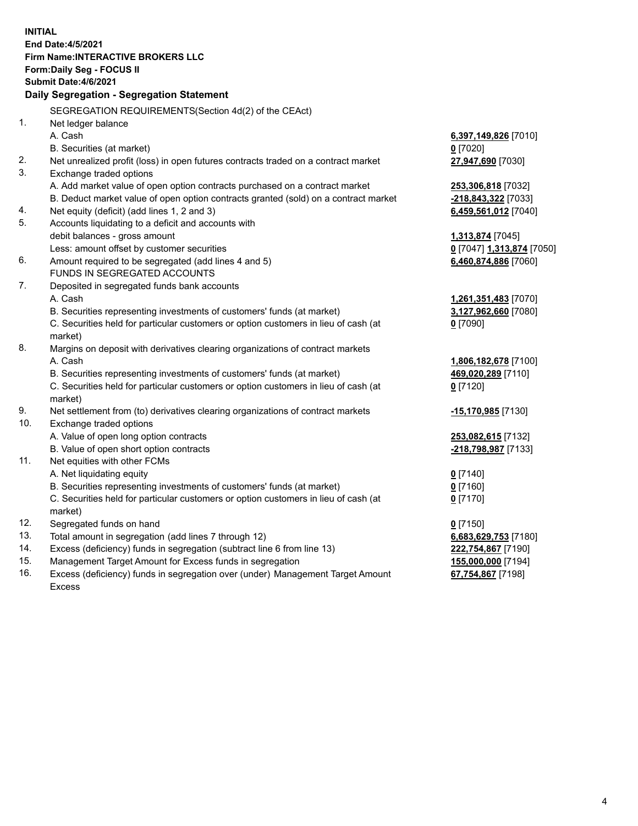**INITIAL End Date:4/5/2021 Firm Name:INTERACTIVE BROKERS LLC Form:Daily Seg - FOCUS II Submit Date:4/6/2021 Daily Segregation - Segregation Statement** SEGREGATION REQUIREMENTS(Section 4d(2) of the CEAct) 1. Net ledger balance A. Cash **6,397,149,826** [7010] B. Securities (at market) **0** [7020] 2. Net unrealized profit (loss) in open futures contracts traded on a contract market **27,947,690** [7030] 3. Exchange traded options A. Add market value of open option contracts purchased on a contract market **253,306,818** [7032] B. Deduct market value of open option contracts granted (sold) on a contract market **-218,843,322** [7033] 4. Net equity (deficit) (add lines 1, 2 and 3) **6,459,561,012** [7040] 5. Accounts liquidating to a deficit and accounts with debit balances - gross amount **1,313,874** [7045] Less: amount offset by customer securities **0** [7047] **1,313,874** [7050] 6. Amount required to be segregated (add lines 4 and 5) **6,460,874,886** [7060] FUNDS IN SEGREGATED ACCOUNTS 7. Deposited in segregated funds bank accounts A. Cash **1,261,351,483** [7070] B. Securities representing investments of customers' funds (at market) **3,127,962,660** [7080] C. Securities held for particular customers or option customers in lieu of cash (at market) **0** [7090] 8. Margins on deposit with derivatives clearing organizations of contract markets A. Cash **1,806,182,678** [7100] B. Securities representing investments of customers' funds (at market) **469,020,289** [7110] C. Securities held for particular customers or option customers in lieu of cash (at market) **0** [7120] 9. Net settlement from (to) derivatives clearing organizations of contract markets **-15,170,985** [7130] 10. Exchange traded options A. Value of open long option contracts **253,082,615** [7132] B. Value of open short option contracts **-218,798,987** [7133] 11. Net equities with other FCMs A. Net liquidating equity **0** [7140] B. Securities representing investments of customers' funds (at market) **0** [7160] C. Securities held for particular customers or option customers in lieu of cash (at market) **0** [7170] 12. Segregated funds on hand **0** [7150] 13. Total amount in segregation (add lines 7 through 12) **6,683,629,753** [7180] 14. Excess (deficiency) funds in segregation (subtract line 6 from line 13) **222,754,867** [7190] 15. Management Target Amount for Excess funds in segregation **155,000,000** [7194] 16. Excess (deficiency) funds in segregation over (under) Management Target Amount **67,754,867** [7198]

Excess